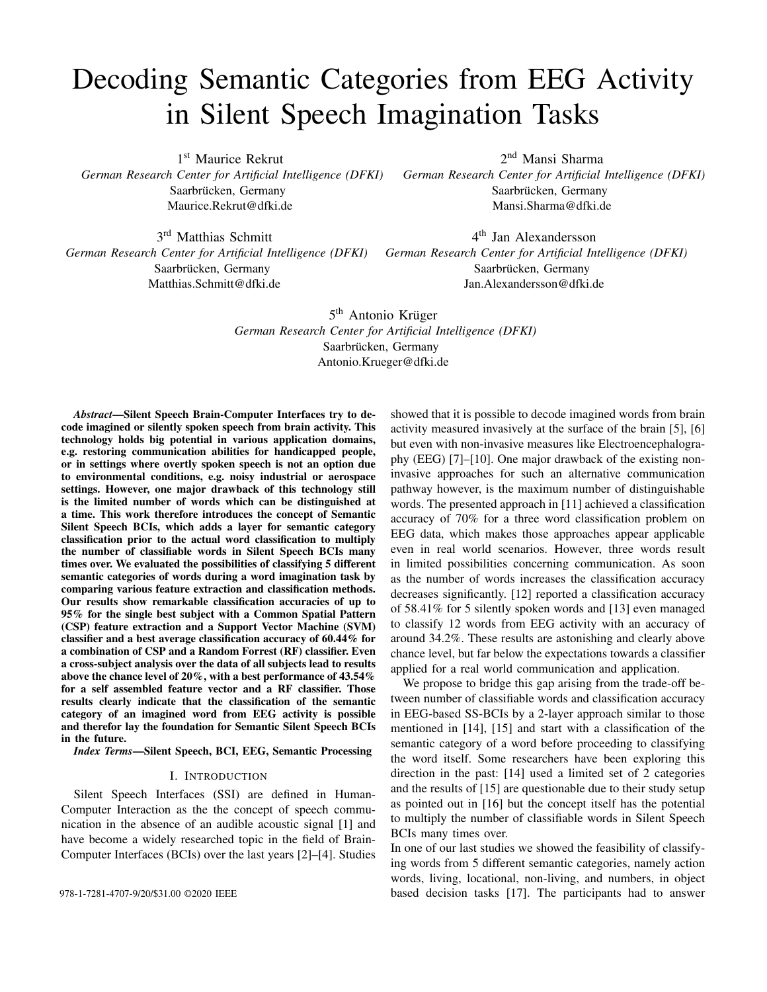# Decoding Semantic Categories from EEG Activity in Silent Speech Imagination Tasks

1st Maurice Rekrut

*German Research Center for Artificial Intelligence (DFKI)* Saarbrücken, Germany Maurice.Rekrut@dfki.de

3 rd Matthias Schmitt Saarbrücken, Germany Matthias.Schmitt@dfki.de

2 nd Mansi Sharma *German Research Center for Artificial Intelligence (DFKI)* Saarbrücken, Germany Mansi.Sharma@dfki.de

*German Research Center for Artificial Intelligence (DFKI) German Research Center for Artificial Intelligence (DFKI)* 4 th Jan Alexandersson Saarbrücken, Germany Jan.Alexandersson@dfki.de

> 5<sup>th</sup> Antonio Krüger *German Research Center for Artificial Intelligence (DFKI)* Saarbrücken, Germany Antonio.Krueger@dfki.de

*Abstract*—Silent Speech Brain-Computer Interfaces try to decode imagined or silently spoken speech from brain activity. This technology holds big potential in various application domains, e.g. restoring communication abilities for handicapped people, or in settings where overtly spoken speech is not an option due to environmental conditions, e.g. noisy industrial or aerospace settings. However, one major drawback of this technology still is the limited number of words which can be distinguished at a time. This work therefore introduces the concept of Semantic Silent Speech BCIs, which adds a layer for semantic category classification prior to the actual word classification to multiply the number of classifiable words in Silent Speech BCIs many times over. We evaluated the possibilities of classifying 5 different semantic categories of words during a word imagination task by comparing various feature extraction and classification methods. Our results show remarkable classification accuracies of up to 95% for the single best subject with a Common Spatial Pattern (CSP) feature extraction and a Support Vector Machine (SVM) classifier and a best average classification accuracy of 60.44% for a combination of CSP and a Random Forrest (RF) classifier. Even a cross-subject analysis over the data of all subjects lead to results above the chance level of 20%, with a best performance of 43.54% for a self assembled feature vector and a RF classifier. Those results clearly indicate that the classification of the semantic category of an imagined word from EEG activity is possible and therefor lay the foundation for Semantic Silent Speech BCIs in the future.

*Index Terms*—Silent Speech, BCI, EEG, Semantic Processing

#### I. INTRODUCTION

Silent Speech Interfaces (SSI) are defined in Human-Computer Interaction as the the concept of speech communication in the absence of an audible acoustic signal [1] and have become a widely researched topic in the field of Brain-Computer Interfaces (BCIs) over the last years [2]–[4]. Studies showed that it is possible to decode imagined words from brain activity measured invasively at the surface of the brain [5], [6] but even with non-invasive measures like Electroencephalography (EEG) [7]–[10]. One major drawback of the existing noninvasive approaches for such an alternative communication pathway however, is the maximum number of distinguishable words. The presented approach in [11] achieved a classification accuracy of 70% for a three word classification problem on EEG data, which makes those approaches appear applicable even in real world scenarios. However, three words result in limited possibilities concerning communication. As soon as the number of words increases the classification accuracy decreases significantly. [12] reported a classification accuracy of 58.41% for 5 silently spoken words and [13] even managed to classify 12 words from EEG activity with an accuracy of around 34.2%. These results are astonishing and clearly above chance level, but far below the expectations towards a classifier applied for a real world communication and application.

We propose to bridge this gap arising from the trade-off between number of classifiable words and classification accuracy in EEG-based SS-BCIs by a 2-layer approach similar to those mentioned in [14], [15] and start with a classification of the semantic category of a word before proceeding to classifying the word itself. Some researchers have been exploring this direction in the past: [14] used a limited set of 2 categories and the results of [15] are questionable due to their study setup as pointed out in [16] but the concept itself has the potential to multiply the number of classifiable words in Silent Speech BCIs many times over.

In one of our last studies we showed the feasibility of classifying words from 5 different semantic categories, namely action words, living, locational, non-living, and numbers, in object 978-1-7281-4707-9/20/\$31.00 ©2020 IEEE based decision tasks [17]. The participants had to answer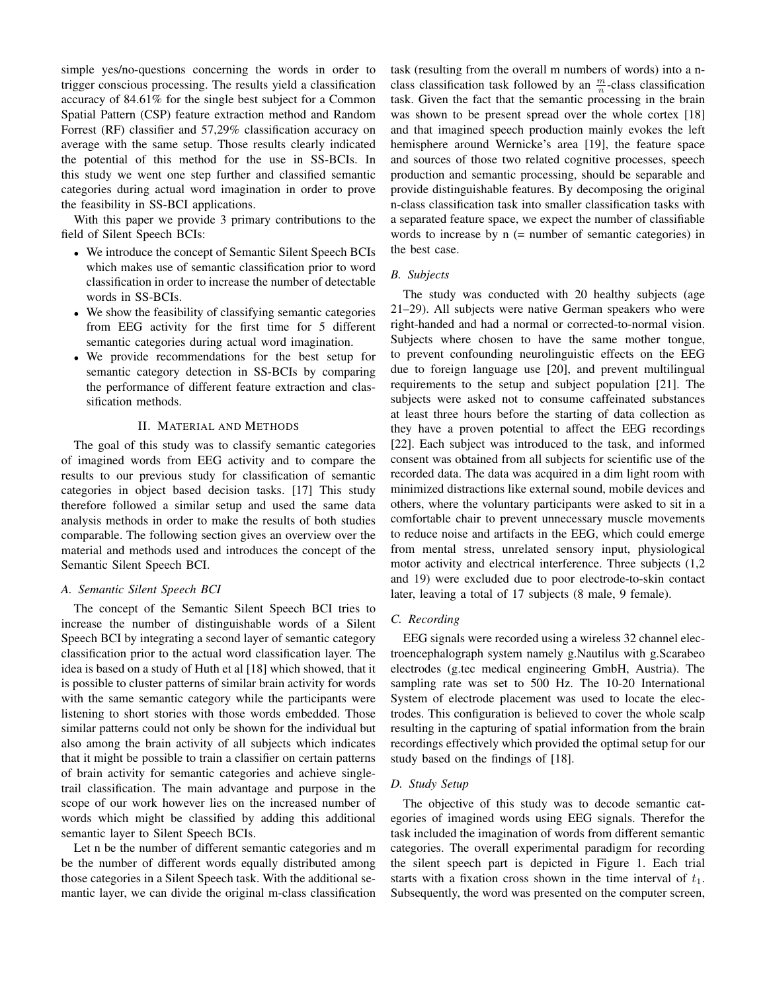simple yes/no-questions concerning the words in order to trigger conscious processing. The results yield a classification accuracy of 84.61% for the single best subject for a Common Spatial Pattern (CSP) feature extraction method and Random Forrest (RF) classifier and 57,29% classification accuracy on average with the same setup. Those results clearly indicated the potential of this method for the use in SS-BCIs. In this study we went one step further and classified semantic categories during actual word imagination in order to prove the feasibility in SS-BCI applications.

With this paper we provide 3 primary contributions to the field of Silent Speech BCIs:

- We introduce the concept of Semantic Silent Speech BCIs which makes use of semantic classification prior to word classification in order to increase the number of detectable words in SS-BCIs.
- We show the feasibility of classifying semantic categories from EEG activity for the first time for 5 different semantic categories during actual word imagination.
- We provide recommendations for the best setup for semantic category detection in SS-BCIs by comparing the performance of different feature extraction and classification methods.

# II. MATERIAL AND METHODS

The goal of this study was to classify semantic categories of imagined words from EEG activity and to compare the results to our previous study for classification of semantic categories in object based decision tasks. [17] This study therefore followed a similar setup and used the same data analysis methods in order to make the results of both studies comparable. The following section gives an overview over the material and methods used and introduces the concept of the Semantic Silent Speech BCI.

## *A. Semantic Silent Speech BCI*

The concept of the Semantic Silent Speech BCI tries to increase the number of distinguishable words of a Silent Speech BCI by integrating a second layer of semantic category classification prior to the actual word classification layer. The idea is based on a study of Huth et al [18] which showed, that it is possible to cluster patterns of similar brain activity for words with the same semantic category while the participants were listening to short stories with those words embedded. Those similar patterns could not only be shown for the individual but also among the brain activity of all subjects which indicates that it might be possible to train a classifier on certain patterns of brain activity for semantic categories and achieve singletrail classification. The main advantage and purpose in the scope of our work however lies on the increased number of words which might be classified by adding this additional semantic layer to Silent Speech BCIs.

Let n be the number of different semantic categories and m be the number of different words equally distributed among those categories in a Silent Speech task. With the additional semantic layer, we can divide the original m-class classification task (resulting from the overall m numbers of words) into a nclass classification task followed by an  $\frac{m}{n}$ -class classification task. Given the fact that the semantic processing in the brain was shown to be present spread over the whole cortex [18] and that imagined speech production mainly evokes the left hemisphere around Wernicke's area [19], the feature space and sources of those two related cognitive processes, speech production and semantic processing, should be separable and provide distinguishable features. By decomposing the original n-class classification task into smaller classification tasks with a separated feature space, we expect the number of classifiable words to increase by  $n$  (= number of semantic categories) in the best case.

## *B. Subjects*

The study was conducted with 20 healthy subjects (age 21–29). All subjects were native German speakers who were right-handed and had a normal or corrected-to-normal vision. Subjects where chosen to have the same mother tongue, to prevent confounding neurolinguistic effects on the EEG due to foreign language use [20], and prevent multilingual requirements to the setup and subject population [21]. The subjects were asked not to consume caffeinated substances at least three hours before the starting of data collection as they have a proven potential to affect the EEG recordings [22]. Each subject was introduced to the task, and informed consent was obtained from all subjects for scientific use of the recorded data. The data was acquired in a dim light room with minimized distractions like external sound, mobile devices and others, where the voluntary participants were asked to sit in a comfortable chair to prevent unnecessary muscle movements to reduce noise and artifacts in the EEG, which could emerge from mental stress, unrelated sensory input, physiological motor activity and electrical interference. Three subjects (1,2 and 19) were excluded due to poor electrode-to-skin contact later, leaving a total of 17 subjects (8 male, 9 female).

## *C. Recording*

EEG signals were recorded using a wireless 32 channel electroencephalograph system namely g.Nautilus with g.Scarabeo electrodes (g.tec medical engineering GmbH, Austria). The sampling rate was set to 500 Hz. The 10-20 International System of electrode placement was used to locate the electrodes. This configuration is believed to cover the whole scalp resulting in the capturing of spatial information from the brain recordings effectively which provided the optimal setup for our study based on the findings of [18].

# *D. Study Setup*

The objective of this study was to decode semantic categories of imagined words using EEG signals. Therefor the task included the imagination of words from different semantic categories. The overall experimental paradigm for recording the silent speech part is depicted in Figure 1. Each trial starts with a fixation cross shown in the time interval of  $t_1$ . Subsequently, the word was presented on the computer screen,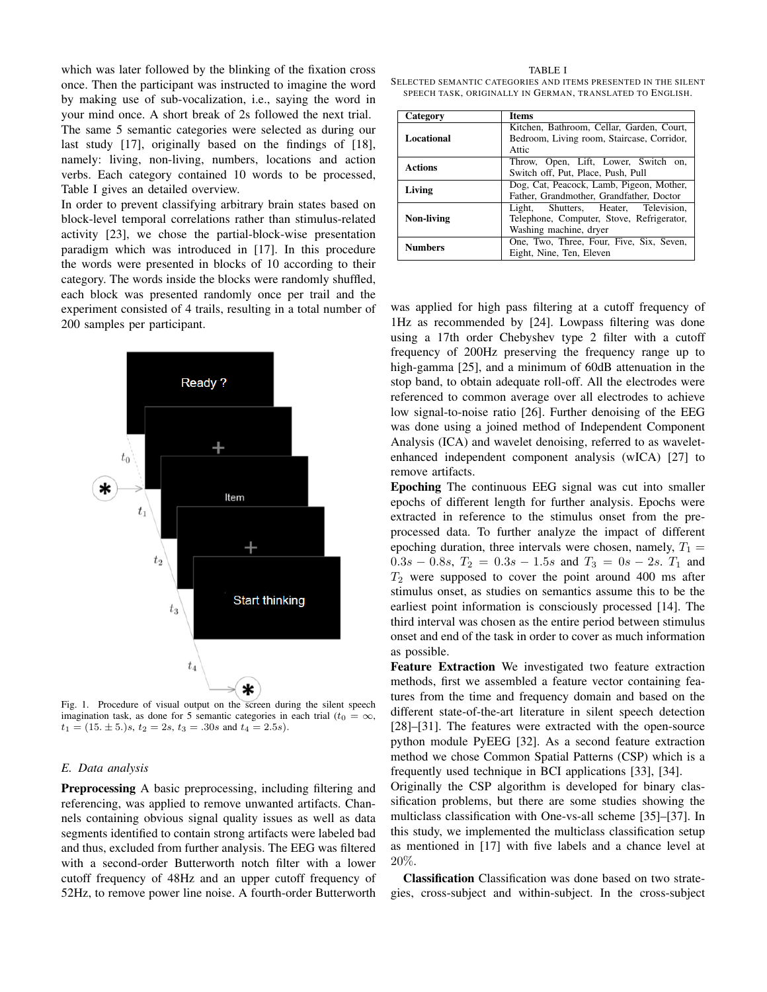which was later followed by the blinking of the fixation cross once. Then the participant was instructed to imagine the word by making use of sub-vocalization, i.e., saying the word in your mind once. A short break of 2s followed the next trial. The same 5 semantic categories were selected as during our last study [17], originally based on the findings of [18], namely: living, non-living, numbers, locations and action verbs. Each category contained 10 words to be processed, Table I gives an detailed overview.

In order to prevent classifying arbitrary brain states based on block-level temporal correlations rather than stimulus-related activity [23], we chose the partial-block-wise presentation paradigm which was introduced in [17]. In this procedure the words were presented in blocks of 10 according to their category. The words inside the blocks were randomly shuffled, each block was presented randomly once per trail and the experiment consisted of 4 trails, resulting in a total number of 200 samples per participant.



Fig. 1. Procedure of visual output on the screen during the silent speech imagination task, as done for 5 semantic categories in each trial ( $t_0 = \infty$ ,  $t_1 = (15. \pm 5.)$ s,  $t_2 = 2s$ ,  $t_3 = .30s$  and  $t_4 = 2.5s$ ).

## *E. Data analysis*

Preprocessing A basic preprocessing, including filtering and referencing, was applied to remove unwanted artifacts. Channels containing obvious signal quality issues as well as data segments identified to contain strong artifacts were labeled bad and thus, excluded from further analysis. The EEG was filtered with a second-order Butterworth notch filter with a lower cutoff frequency of 48Hz and an upper cutoff frequency of 52Hz, to remove power line noise. A fourth-order Butterworth

TABLE I SELECTED SEMANTIC CATEGORIES AND ITEMS PRESENTED IN THE SILENT SPEECH TASK, ORIGINALLY IN GERMAN, TRANSLATED TO ENGLISH.

| Category       | <b>Items</b>                                                                                                   |  |  |
|----------------|----------------------------------------------------------------------------------------------------------------|--|--|
| Locational     | Kitchen, Bathroom, Cellar, Garden, Court,<br>Bedroom, Living room, Staircase, Corridor,<br>Attic               |  |  |
| <b>Actions</b> | Throw, Open, Lift, Lower, Switch on,<br>Switch off, Put, Place, Push, Pull                                     |  |  |
| Living         | Dog, Cat, Peacock, Lamb, Pigeon, Mother,<br>Father, Grandmother, Grandfather, Doctor                           |  |  |
| Non-living     | Shutters, Heater, Television,<br>Light,<br>Telephone, Computer, Stove, Refrigerator,<br>Washing machine, dryer |  |  |
| <b>Numbers</b> | One, Two, Three, Four, Five, Six, Seven,<br>Eight, Nine, Ten, Eleven                                           |  |  |

was applied for high pass filtering at a cutoff frequency of 1Hz as recommended by [24]. Lowpass filtering was done using a 17th order Chebyshev type 2 filter with a cutoff frequency of 200Hz preserving the frequency range up to high-gamma [25], and a minimum of 60dB attenuation in the stop band, to obtain adequate roll-off. All the electrodes were referenced to common average over all electrodes to achieve low signal-to-noise ratio [26]. Further denoising of the EEG was done using a joined method of Independent Component Analysis (ICA) and wavelet denoising, referred to as waveletenhanced independent component analysis (wICA) [27] to remove artifacts.

Epoching The continuous EEG signal was cut into smaller epochs of different length for further analysis. Epochs were extracted in reference to the stimulus onset from the preprocessed data. To further analyze the impact of different epoching duration, three intervals were chosen, namely,  $T_1$  =  $0.3s - 0.8s$ ,  $T_2 = 0.3s - 1.5s$  and  $T_3 = 0s - 2s$ .  $T_1$  and  $T_2$  were supposed to cover the point around 400 ms after stimulus onset, as studies on semantics assume this to be the earliest point information is consciously processed [14]. The third interval was chosen as the entire period between stimulus onset and end of the task in order to cover as much information as possible.

Feature Extraction We investigated two feature extraction methods, first we assembled a feature vector containing features from the time and frequency domain and based on the different state-of-the-art literature in silent speech detection [28]–[31]. The features were extracted with the open-source python module PyEEG [32]. As a second feature extraction method we chose Common Spatial Patterns (CSP) which is a frequently used technique in BCI applications [33], [34].

Originally the CSP algorithm is developed for binary classification problems, but there are some studies showing the multiclass classification with One-vs-all scheme [35]–[37]. In this study, we implemented the multiclass classification setup as mentioned in [17] with five labels and a chance level at 20%.

Classification Classification was done based on two strategies, cross-subject and within-subject. In the cross-subject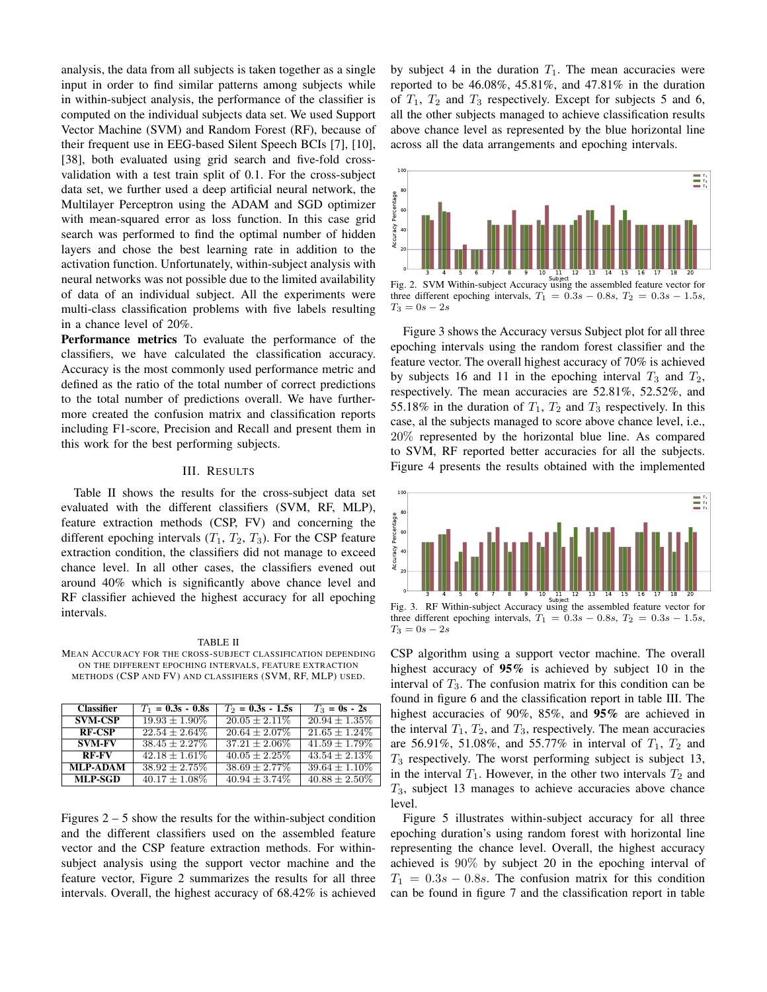analysis, the data from all subjects is taken together as a single input in order to find similar patterns among subjects while in within-subject analysis, the performance of the classifier is computed on the individual subjects data set. We used Support Vector Machine (SVM) and Random Forest (RF), because of their frequent use in EEG-based Silent Speech BCIs [7], [10], [38], both evaluated using grid search and five-fold crossvalidation with a test train split of 0.1. For the cross-subject data set, we further used a deep artificial neural network, the Multilayer Perceptron using the ADAM and SGD optimizer with mean-squared error as loss function. In this case grid search was performed to find the optimal number of hidden layers and chose the best learning rate in addition to the activation function. Unfortunately, within-subject analysis with neural networks was not possible due to the limited availability of data of an individual subject. All the experiments were multi-class classification problems with five labels resulting in a chance level of 20%.

Performance metrics To evaluate the performance of the classifiers, we have calculated the classification accuracy. Accuracy is the most commonly used performance metric and defined as the ratio of the total number of correct predictions to the total number of predictions overall. We have furthermore created the confusion matrix and classification reports including F1-score, Precision and Recall and present them in this work for the best performing subjects.

#### III. RESULTS

Table II shows the results for the cross-subject data set evaluated with the different classifiers (SVM, RF, MLP), feature extraction methods (CSP, FV) and concerning the different epoching intervals  $(T_1, T_2, T_3)$ . For the CSP feature extraction condition, the classifiers did not manage to exceed chance level. In all other cases, the classifiers evened out around 40% which is significantly above chance level and RF classifier achieved the highest accuracy for all epoching intervals.

TABLE II MEAN ACCURACY FOR THE CROSS-SUBJECT CLASSIFICATION DEPENDING ON THE DIFFERENT EPOCHING INTERVALS, FEATURE EXTRACTION METHODS (CSP AND FV) AND CLASSIFIERS (SVM, RF, MLP) USED.

| <b>Classifier</b> | $T_1 = 0.3s - 0.8s$ | $T_2 = 0.3s - 1.5s$ | $T_3 = 0s - 2s$  |
|-------------------|---------------------|---------------------|------------------|
| <b>SVM-CSP</b>    | $19.93 + 1.90\%$    | $20.05 + 2.11\%$    | $20.94 + 1.35\%$ |
| <b>RF-CSP</b>     | $22.54 + 2.64\%$    | $20.64 + 2.07\%$    | $21.65 + 1.24\%$ |
| <b>SVM-FV</b>     | $38.45 + 2.27\%$    | $37.21 + 2.06\%$    | $41.59 + 1.79\%$ |
| <b>RF-FV</b>      | $42.18 + 1.61\%$    | $40.05 + 2.25\%$    | $43.54 + 2.13\%$ |
| <b>MLP-ADAM</b>   | $38.92 \pm 2.75\%$  | $38.69 + 2.77\%$    | $39.64 + 1.10\%$ |
| <b>MLP-SGD</b>    | $40.17 + 1.08\%$    | $40.94 \pm 3.74\%$  | $40.88 + 2.50\%$ |

Figures  $2 - 5$  show the results for the within-subject condition and the different classifiers used on the assembled feature vector and the CSP feature extraction methods. For withinsubject analysis using the support vector machine and the feature vector, Figure 2 summarizes the results for all three intervals. Overall, the highest accuracy of 68.42% is achieved

by subject 4 in the duration  $T_1$ . The mean accuracies were reported to be  $46.08\%$ ,  $45.81\%$ , and  $47.81\%$  in the duration of  $T_1$ ,  $T_2$  and  $T_3$  respectively. Except for subjects 5 and 6, all the other subjects managed to achieve classification results above chance level as represented by the blue horizontal line across all the data arrangements and epoching intervals.



three different epoching intervals,  $T_1 = 0.3s - 0.8s$ ,  $T_2 = 0.3s - 1.5s$ ,  $T_3 = 0s - 2s$ 

Figure 3 shows the Accuracy versus Subject plot for all three epoching intervals using the random forest classifier and the feature vector. The overall highest accuracy of 70% is achieved by subjects 16 and 11 in the epoching interval  $T_3$  and  $T_2$ , respectively. The mean accuracies are 52.81%, 52.52%, and 55.18% in the duration of  $T_1$ ,  $T_2$  and  $T_3$  respectively. In this case, al the subjects managed to score above chance level, i.e., 20% represented by the horizontal blue line. As compared to SVM, RF reported better accuracies for all the subjects. Figure 4 presents the results obtained with the implemented



Subject Fig. 3. RF Within-subject Accuracy using the assembled feature vector for three different epoching intervals,  $T_1 = 0.3s - 0.8s$ ,  $T_2 = 0.3s - 1.5s$ ,  $T_3 = 0s - 2s$ 

CSP algorithm using a support vector machine. The overall highest accuracy of 95% is achieved by subject 10 in the interval of  $T_3$ . The confusion matrix for this condition can be found in figure 6 and the classification report in table III. The highest accuracies of 90%, 85%, and 95% are achieved in the interval  $T_1$ ,  $T_2$ , and  $T_3$ , respectively. The mean accuracies are 56.91%, 51.08%, and 55.77% in interval of  $T_1$ ,  $T_2$  and  $T_3$  respectively. The worst performing subject is subject 13, in the interval  $T_1$ . However, in the other two intervals  $T_2$  and  $T_3$ , subject 13 manages to achieve accuracies above chance level.

Figure 5 illustrates within-subject accuracy for all three epoching duration's using random forest with horizontal line representing the chance level. Overall, the highest accuracy achieved is 90% by subject 20 in the epoching interval of  $T_1 = 0.3s - 0.8s$ . The confusion matrix for this condition can be found in figure 7 and the classification report in table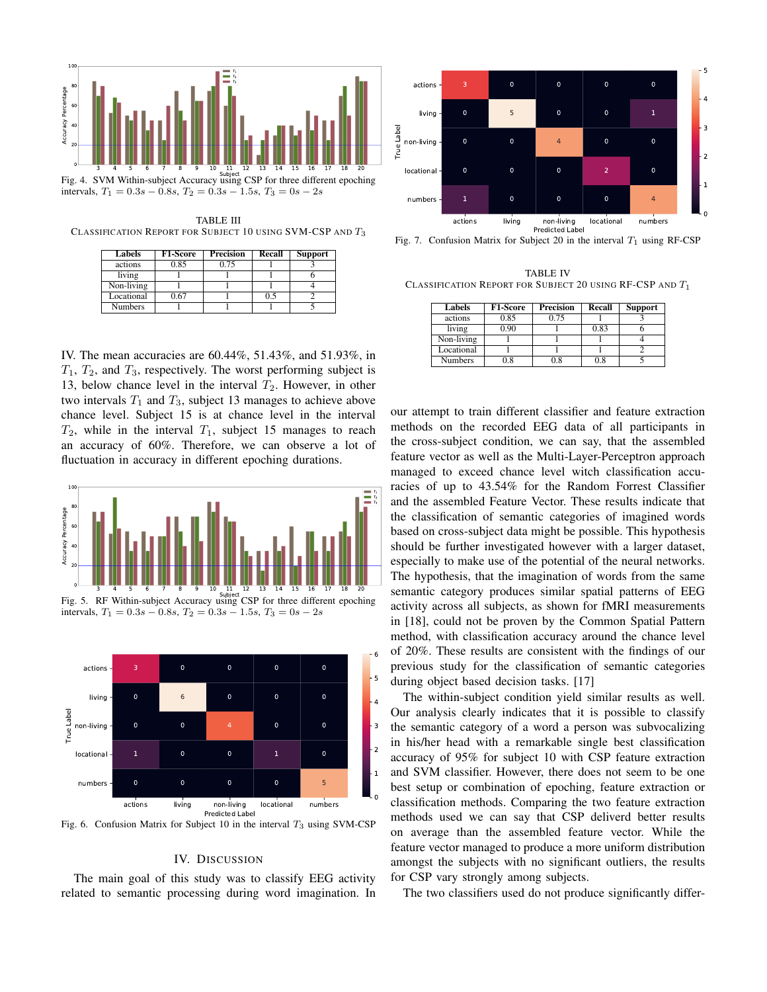

TABLE III CLASSIFICATION REPORT FOR SUBJECT 10 USING SVM-CSP AND  $T_3$ 

| Labels         | <b>F1-Score</b> | Precision | Recall | <b>Support</b> |
|----------------|-----------------|-----------|--------|----------------|
| actions        | 0.85            | 0.75      |        |                |
| living         |                 |           |        |                |
| Non-living     |                 |           |        |                |
| Locational     | 0.67            |           | 0.5    |                |
| <b>Numbers</b> |                 |           |        |                |

IV. The mean accuracies are 60.44%, 51.43%, and 51.93%, in  $T_1$ ,  $T_2$ , and  $T_3$ , respectively. The worst performing subject is 13, below chance level in the interval  $T_2$ . However, in other two intervals  $T_1$  and  $T_3$ , subject 13 manages to achieve above chance level. Subject 15 is at chance level in the interval  $T_2$ , while in the interval  $T_1$ , subject 15 manages to reach an accuracy of 60%. Therefore, we can observe a lot of fluctuation in accuracy in different epoching durations.



Fig. 5. RF Within-subject Accuracy using CSP for three different epoching intervals,  $T_1 = 0.3s - 0.8s$ ,  $T_2 = 0.3s - 1.5s$ ,  $T_3 = 0s - 2s$ 



Fig. 6. Confusion Matrix for Subject 10 in the interval  $T_3$  using SVM-CSP

## IV. DISCUSSION

The main goal of this study was to classify EEG activity related to semantic processing during word imagination. In



Fig. 7. Confusion Matrix for Subject 20 in the interval  $T_1$  using RF-CSP

TABLE IV CLASSIFICATION REPORT FOR SUBJECT 20 USING RF-CSP AND  $T_1$ 

| Labels         | <b>F1-Score</b> | <b>Precision</b> | Recall | <b>Support</b> |
|----------------|-----------------|------------------|--------|----------------|
| actions        | 0.85            | 0.75             |        |                |
| living         | 0.90            |                  | 0.83   |                |
| Non-living     |                 |                  |        |                |
| Locational     |                 |                  |        |                |
| <b>Numbers</b> | 0.8             | 0.8              | 0.8    |                |

our attempt to train different classifier and feature extraction methods on the recorded EEG data of all participants in the cross-subject condition, we can say, that the assembled feature vector as well as the Multi-Layer-Perceptron approach managed to exceed chance level witch classification accuracies of up to 43.54% for the Random Forrest Classifier and the assembled Feature Vector. These results indicate that the classification of semantic categories of imagined words based on cross-subject data might be possible. This hypothesis should be further investigated however with a larger dataset, especially to make use of the potential of the neural networks. The hypothesis, that the imagination of words from the same semantic category produces similar spatial patterns of EEG activity across all subjects, as shown for fMRI measurements in [18], could not be proven by the Common Spatial Pattern method, with classification accuracy around the chance level of 20%. These results are consistent with the findings of our previous study for the classification of semantic categories during object based decision tasks. [17]

The within-subject condition yield similar results as well. Our analysis clearly indicates that it is possible to classify the semantic category of a word a person was subvocalizing in his/her head with a remarkable single best classification accuracy of 95% for subject 10 with CSP feature extraction and SVM classifier. However, there does not seem to be one best setup or combination of epoching, feature extraction or classification methods. Comparing the two feature extraction methods used we can say that CSP deliverd better results on average than the assembled feature vector. While the feature vector managed to produce a more uniform distribution amongst the subjects with no significant outliers, the results for CSP vary strongly among subjects.

The two classifiers used do not produce significantly differ-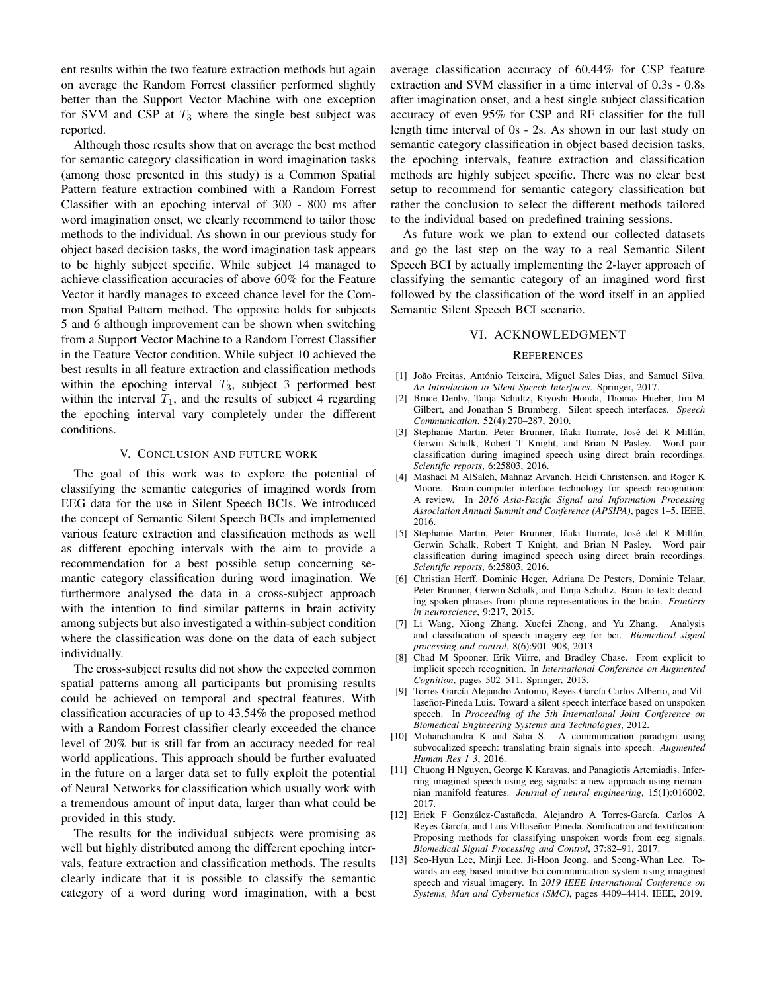ent results within the two feature extraction methods but again on average the Random Forrest classifier performed slightly better than the Support Vector Machine with one exception for SVM and CSP at  $T_3$  where the single best subject was reported.

Although those results show that on average the best method for semantic category classification in word imagination tasks (among those presented in this study) is a Common Spatial Pattern feature extraction combined with a Random Forrest Classifier with an epoching interval of 300 - 800 ms after word imagination onset, we clearly recommend to tailor those methods to the individual. As shown in our previous study for object based decision tasks, the word imagination task appears to be highly subject specific. While subject 14 managed to achieve classification accuracies of above 60% for the Feature Vector it hardly manages to exceed chance level for the Common Spatial Pattern method. The opposite holds for subjects 5 and 6 although improvement can be shown when switching from a Support Vector Machine to a Random Forrest Classifier in the Feature Vector condition. While subject 10 achieved the best results in all feature extraction and classification methods within the epoching interval  $T_3$ , subject 3 performed best within the interval  $T_1$ , and the results of subject 4 regarding the epoching interval vary completely under the different conditions.

## V. CONCLUSION AND FUTURE WORK

The goal of this work was to explore the potential of classifying the semantic categories of imagined words from EEG data for the use in Silent Speech BCIs. We introduced the concept of Semantic Silent Speech BCIs and implemented various feature extraction and classification methods as well as different epoching intervals with the aim to provide a recommendation for a best possible setup concerning semantic category classification during word imagination. We furthermore analysed the data in a cross-subject approach with the intention to find similar patterns in brain activity among subjects but also investigated a within-subject condition where the classification was done on the data of each subject individually.

The cross-subject results did not show the expected common spatial patterns among all participants but promising results could be achieved on temporal and spectral features. With classification accuracies of up to 43.54% the proposed method with a Random Forrest classifier clearly exceeded the chance level of 20% but is still far from an accuracy needed for real world applications. This approach should be further evaluated in the future on a larger data set to fully exploit the potential of Neural Networks for classification which usually work with a tremendous amount of input data, larger than what could be provided in this study.

The results for the individual subjects were promising as well but highly distributed among the different epoching intervals, feature extraction and classification methods. The results clearly indicate that it is possible to classify the semantic category of a word during word imagination, with a best average classification accuracy of 60.44% for CSP feature extraction and SVM classifier in a time interval of 0.3s - 0.8s after imagination onset, and a best single subject classification accuracy of even 95% for CSP and RF classifier for the full length time interval of 0s - 2s. As shown in our last study on semantic category classification in object based decision tasks, the epoching intervals, feature extraction and classification methods are highly subject specific. There was no clear best setup to recommend for semantic category classification but rather the conclusion to select the different methods tailored to the individual based on predefined training sessions.

As future work we plan to extend our collected datasets and go the last step on the way to a real Semantic Silent Speech BCI by actually implementing the 2-layer approach of classifying the semantic category of an imagined word first followed by the classification of the word itself in an applied Semantic Silent Speech BCI scenario.

## VI. ACKNOWLEDGMENT

## **REFERENCES**

- [1] João Freitas, António Teixeira, Miguel Sales Dias, and Samuel Silva. *An Introduction to Silent Speech Interfaces*. Springer, 2017.
- [2] Bruce Denby, Tanja Schultz, Kiyoshi Honda, Thomas Hueber, Jim M Gilbert, and Jonathan S Brumberg. Silent speech interfaces. *Speech Communication*, 52(4):270–287, 2010.
- [3] Stephanie Martin, Peter Brunner, Iñaki Iturrate, José del R Millán, Gerwin Schalk, Robert T Knight, and Brian N Pasley. Word pair classification during imagined speech using direct brain recordings. *Scientific reports*, 6:25803, 2016.
- [4] Mashael M AlSaleh, Mahnaz Arvaneh, Heidi Christensen, and Roger K Moore. Brain-computer interface technology for speech recognition: A review. In *2016 Asia-Pacific Signal and Information Processing Association Annual Summit and Conference (APSIPA)*, pages 1–5. IEEE, 2016.
- [5] Stephanie Martin, Peter Brunner, Iñaki Iturrate, José del R Millán, Gerwin Schalk, Robert T Knight, and Brian N Pasley. Word pair classification during imagined speech using direct brain recordings. *Scientific reports*, 6:25803, 2016.
- [6] Christian Herff, Dominic Heger, Adriana De Pesters, Dominic Telaar, Peter Brunner, Gerwin Schalk, and Tanja Schultz. Brain-to-text: decoding spoken phrases from phone representations in the brain. *Frontiers in neuroscience*, 9:217, 2015.
- [7] Li Wang, Xiong Zhang, Xuefei Zhong, and Yu Zhang. Analysis and classification of speech imagery eeg for bci. *Biomedical signal processing and control*, 8(6):901–908, 2013.
- [8] Chad M Spooner, Erik Viirre, and Bradley Chase. From explicit to implicit speech recognition. In *International Conference on Augmented Cognition*, pages 502–511. Springer, 2013.
- [9] Torres-García Alejandro Antonio, Reyes-García Carlos Alberto, and Villaseñor-Pineda Luis. Toward a silent speech interface based on unspoken speech. In *Proceeding of the 5th International Joint Conference on Biomedical Engineering Systems and Technologies*, 2012.
- [10] Mohanchandra K and Saha S. A communication paradigm using subvocalized speech: translating brain signals into speech. *Augmented Human Res 1 3*, 2016.
- [11] Chuong H Nguyen, George K Karavas, and Panagiotis Artemiadis. Inferring imagined speech using eeg signals: a new approach using riemannian manifold features. *Journal of neural engineering*, 15(1):016002, 2017.
- [12] Erick F González-Castañeda, Alejandro A Torres-García, Carlos A Reyes-García, and Luis Villaseñor-Pineda. Sonification and textification: Proposing methods for classifying unspoken words from eeg signals. *Biomedical Signal Processing and Control*, 37:82–91, 2017.
- [13] Seo-Hyun Lee, Minji Lee, Ji-Hoon Jeong, and Seong-Whan Lee. Towards an eeg-based intuitive bci communication system using imagined speech and visual imagery. In *2019 IEEE International Conference on Systems, Man and Cybernetics (SMC)*, pages 4409–4414. IEEE, 2019.